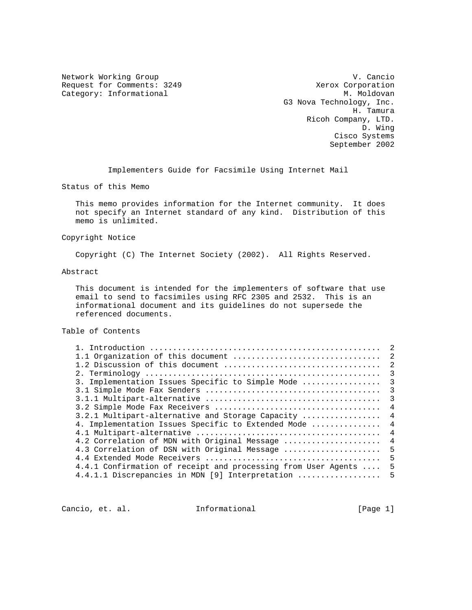Request for Comments: 3249 Xerox Corporation (Nategory: Informational M. Moldovan Category: Informational

Network Working Group variation of the U.S. Cancio G3 Nova Technology, Inc. H. Tamura Ricoh Company, LTD. D. Wing Cisco Systems September 2002

Implementers Guide for Facsimile Using Internet Mail

Status of this Memo

 This memo provides information for the Internet community. It does not specify an Internet standard of any kind. Distribution of this memo is unlimited.

#### Copyright Notice

Copyright (C) The Internet Society (2002). All Rights Reserved.

## Abstract

 This document is intended for the implementers of software that use email to send to facsimiles using RFC 2305 and 2532. This is an informational document and its guidelines do not supersede the referenced documents.

# Table of Contents

| 3. Implementation Issues Specific to Simple Mode<br>3.2.1 Multipart-alternative and Storage Capacity<br>4. Implementation Issues Specific to Extended Mode<br>4.2 Correlation of MDN with Original Message<br>4.3 Correlation of DSN with Original Message<br>4.4.1 Confirmation of receipt and processing from User Agents<br>4.4.1.1 Discrepancies in MDN [9] Interpretation  5 |  |                         |
|-----------------------------------------------------------------------------------------------------------------------------------------------------------------------------------------------------------------------------------------------------------------------------------------------------------------------------------------------------------------------------------|--|-------------------------|
|                                                                                                                                                                                                                                                                                                                                                                                   |  |                         |
|                                                                                                                                                                                                                                                                                                                                                                                   |  |                         |
|                                                                                                                                                                                                                                                                                                                                                                                   |  | 3                       |
|                                                                                                                                                                                                                                                                                                                                                                                   |  | $\overline{\mathbf{3}}$ |
|                                                                                                                                                                                                                                                                                                                                                                                   |  | $\overline{\mathbf{3}}$ |
|                                                                                                                                                                                                                                                                                                                                                                                   |  | 3                       |
|                                                                                                                                                                                                                                                                                                                                                                                   |  | $\overline{4}$          |
|                                                                                                                                                                                                                                                                                                                                                                                   |  | $\overline{4}$          |
|                                                                                                                                                                                                                                                                                                                                                                                   |  | $\overline{4}$          |
|                                                                                                                                                                                                                                                                                                                                                                                   |  | $\overline{4}$          |
|                                                                                                                                                                                                                                                                                                                                                                                   |  | $\overline{4}$          |
|                                                                                                                                                                                                                                                                                                                                                                                   |  | -5                      |
|                                                                                                                                                                                                                                                                                                                                                                                   |  | 5                       |
|                                                                                                                                                                                                                                                                                                                                                                                   |  | 5                       |
|                                                                                                                                                                                                                                                                                                                                                                                   |  |                         |

Cancio, et. al. 1nformational [Page 1]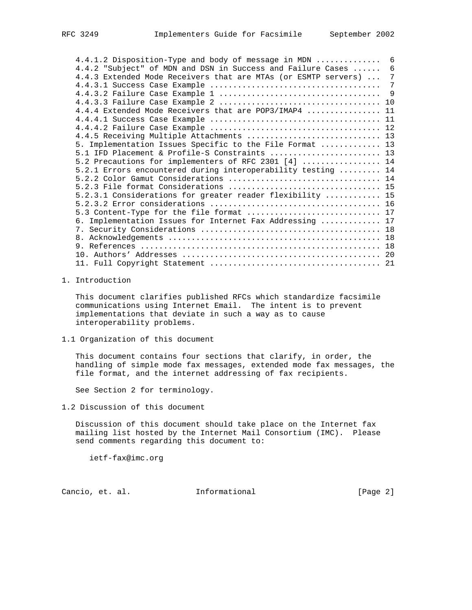4.4.1.2 Disposition-Type and body of message in MDN .............. 6 4.4.2 "Subject" of MDN and DSN in Success and Failure Cases ...... 6 4.4.3 Extended Mode Receivers that are MTAs (or ESMTP servers) ... 7 4.4.3.1 Success Case Example ..................................... 7 4.4.3.2 Failure Case Example 1 ................................... 9 4.4.3.3 Failure Case Example 2 ................................... 10 4.4.4 Extended Mode Receivers that are POP3/IMAP4 ................ 11 4.4.4.1 Success Case Example ..................................... 11 4.4.4.2 Failure Case Example ..................................... 12 4.4.5 Receiving Multiple Attachments ............................. 13 5. Implementation Issues Specific to the File Format ............. 13 5.1 IFD Placement & Profile-S Constraints ........................ 13 5.2 Precautions for implementers of RFC 2301 [4] ................. 14 5.2.1 Errors encountered during interoperability testing ......... 14 5.2.2 Color Gamut Considerations ................................. 14 5.2.3 File format Considerations ................................. 15 5.2.3.1 Considerations for greater reader flexibility ............ 15 5.2.3.2 Error considerations ..................................... 16 5.3 Content-Type for the file format ................................ 17 6. Implementation Issues for Internet Fax Addressing ............. 17 7. Security Considerations ....................................... 18 8. Acknowledgements .............................................. 18 9. References .................................................... 18 10. Authors' Addresses ........................................... 20 11. Full Copyright Statement ..................................... 21

#### 1. Introduction

 This document clarifies published RFCs which standardize facsimile communications using Internet Email. The intent is to prevent implementations that deviate in such a way as to cause interoperability problems.

1.1 Organization of this document

 This document contains four sections that clarify, in order, the handling of simple mode fax messages, extended mode fax messages, the file format, and the internet addressing of fax recipients.

See Section 2 for terminology.

1.2 Discussion of this document

 Discussion of this document should take place on the Internet fax mailing list hosted by the Internet Mail Consortium (IMC). Please send comments regarding this document to:

ietf-fax@imc.org

Cancio, et. al. Informational [Page 2]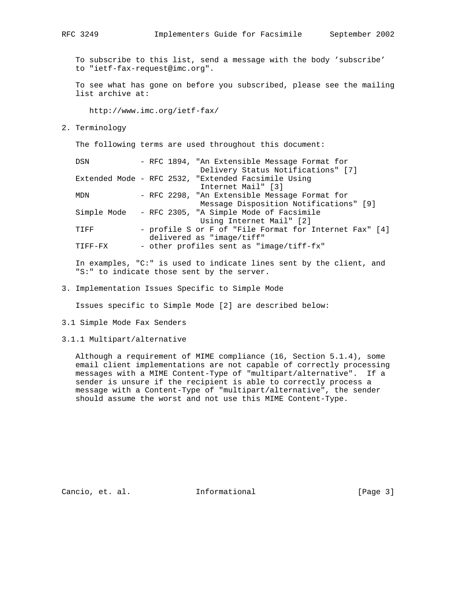To subscribe to this list, send a message with the body 'subscribe' to "ietf-fax-request@imc.org".

 To see what has gone on before you subscribed, please see the mailing list archive at:

http://www.imc.org/ietf-fax/

2. Terminology

The following terms are used throughout this document:

DSN - RFC 1894, "An Extensible Message Format for Delivery Status Notifications" [7] Extended Mode - RFC 2532, "Extended Facsimile Using Internet Mail" [3] MDN - RFC 2298, "An Extensible Message Format for Message Disposition Notifications" [9] Simple Mode - RFC 2305, "A Simple Mode of Facsimile Using Internet Mail" [2] TIFF - profile S or F of "File Format for Internet Fax" [4] delivered as "image/tiff" TIFF-FX - other profiles sent as "image/tiff-fx"

 In examples, "C:" is used to indicate lines sent by the client, and "S:" to indicate those sent by the server.

3. Implementation Issues Specific to Simple Mode

Issues specific to Simple Mode [2] are described below:

3.1 Simple Mode Fax Senders

## 3.1.1 Multipart/alternative

 Although a requirement of MIME compliance (16, Section 5.1.4), some email client implementations are not capable of correctly processing messages with a MIME Content-Type of "multipart/alternative". If a sender is unsure if the recipient is able to correctly process a message with a Content-Type of "multipart/alternative", the sender should assume the worst and not use this MIME Content-Type.

Cancio, et. al. 1nformational [Page 3]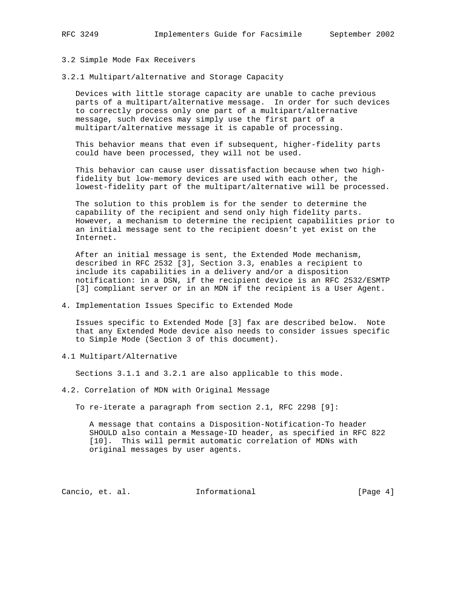### 3.2 Simple Mode Fax Receivers

3.2.1 Multipart/alternative and Storage Capacity

 Devices with little storage capacity are unable to cache previous parts of a multipart/alternative message. In order for such devices to correctly process only one part of a multipart/alternative message, such devices may simply use the first part of a multipart/alternative message it is capable of processing.

 This behavior means that even if subsequent, higher-fidelity parts could have been processed, they will not be used.

 This behavior can cause user dissatisfaction because when two high fidelity but low-memory devices are used with each other, the lowest-fidelity part of the multipart/alternative will be processed.

 The solution to this problem is for the sender to determine the capability of the recipient and send only high fidelity parts. However, a mechanism to determine the recipient capabilities prior to an initial message sent to the recipient doesn't yet exist on the Internet.

 After an initial message is sent, the Extended Mode mechanism, described in RFC 2532 [3], Section 3.3, enables a recipient to include its capabilities in a delivery and/or a disposition notification: in a DSN, if the recipient device is an RFC 2532/ESMTP [3] compliant server or in an MDN if the recipient is a User Agent.

4. Implementation Issues Specific to Extended Mode

 Issues specific to Extended Mode [3] fax are described below. Note that any Extended Mode device also needs to consider issues specific to Simple Mode (Section 3 of this document).

4.1 Multipart/Alternative

Sections 3.1.1 and 3.2.1 are also applicable to this mode.

4.2. Correlation of MDN with Original Message

To re-iterate a paragraph from section 2.1, RFC 2298 [9]:

 A message that contains a Disposition-Notification-To header SHOULD also contain a Message-ID header, as specified in RFC 822 [10]. This will permit automatic correlation of MDNs with original messages by user agents.

Cancio, et. al. **Informational** [Page 4]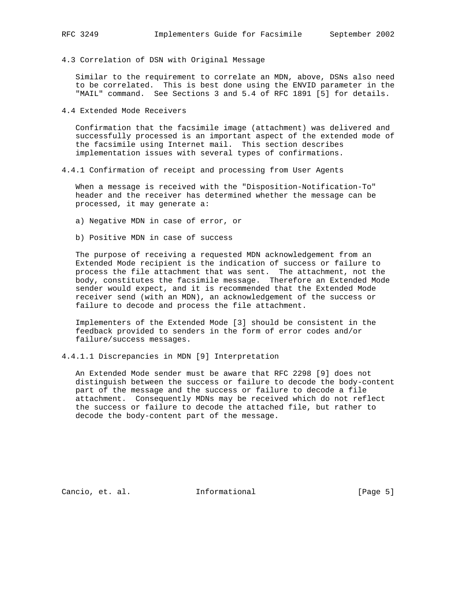4.3 Correlation of DSN with Original Message

 Similar to the requirement to correlate an MDN, above, DSNs also need to be correlated. This is best done using the ENVID parameter in the "MAIL" command. See Sections 3 and 5.4 of RFC 1891 [5] for details.

4.4 Extended Mode Receivers

 Confirmation that the facsimile image (attachment) was delivered and successfully processed is an important aspect of the extended mode of the facsimile using Internet mail. This section describes implementation issues with several types of confirmations.

4.4.1 Confirmation of receipt and processing from User Agents

 When a message is received with the "Disposition-Notification-To" header and the receiver has determined whether the message can be processed, it may generate a:

- a) Negative MDN in case of error, or
- b) Positive MDN in case of success

 The purpose of receiving a requested MDN acknowledgement from an Extended Mode recipient is the indication of success or failure to process the file attachment that was sent. The attachment, not the body, constitutes the facsimile message. Therefore an Extended Mode sender would expect, and it is recommended that the Extended Mode receiver send (with an MDN), an acknowledgement of the success or failure to decode and process the file attachment.

 Implementers of the Extended Mode [3] should be consistent in the feedback provided to senders in the form of error codes and/or failure/success messages.

4.4.1.1 Discrepancies in MDN [9] Interpretation

 An Extended Mode sender must be aware that RFC 2298 [9] does not distinguish between the success or failure to decode the body-content part of the message and the success or failure to decode a file attachment. Consequently MDNs may be received which do not reflect the success or failure to decode the attached file, but rather to decode the body-content part of the message.

Cancio, et. al. **Informational** [Page 5]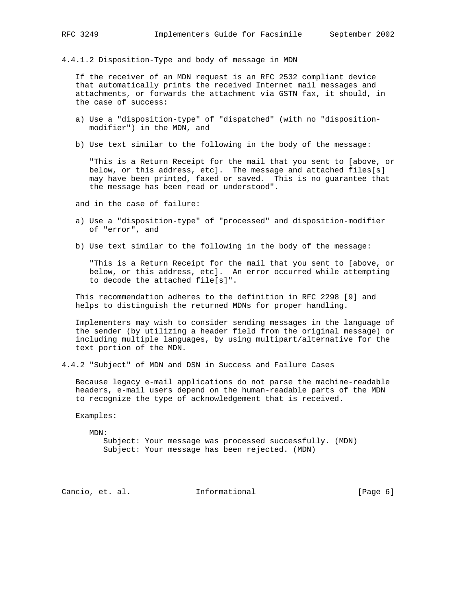4.4.1.2 Disposition-Type and body of message in MDN

 If the receiver of an MDN request is an RFC 2532 compliant device that automatically prints the received Internet mail messages and attachments, or forwards the attachment via GSTN fax, it should, in the case of success:

- a) Use a "disposition-type" of "dispatched" (with no "disposition modifier") in the MDN, and
- b) Use text similar to the following in the body of the message:

 "This is a Return Receipt for the mail that you sent to [above, or below, or this address, etc]. The message and attached files[s] may have been printed, faxed or saved. This is no guarantee that the message has been read or understood".

and in the case of failure:

- a) Use a "disposition-type" of "processed" and disposition-modifier of "error", and
- b) Use text similar to the following in the body of the message:

 "This is a Return Receipt for the mail that you sent to [above, or below, or this address, etc]. An error occurred while attempting to decode the attached file[s]".

 This recommendation adheres to the definition in RFC 2298 [9] and helps to distinguish the returned MDNs for proper handling.

 Implementers may wish to consider sending messages in the language of the sender (by utilizing a header field from the original message) or including multiple languages, by using multipart/alternative for the text portion of the MDN.

4.4.2 "Subject" of MDN and DSN in Success and Failure Cases

 Because legacy e-mail applications do not parse the machine-readable headers, e-mail users depend on the human-readable parts of the MDN to recognize the type of acknowledgement that is received.

Examples:

MDN:

 Subject: Your message was processed successfully. (MDN) Subject: Your message has been rejected. (MDN)

Cancio, et. al. **Informational** [Page 6]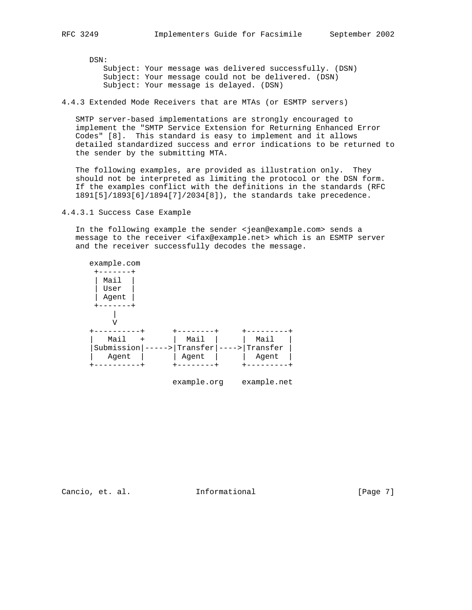DSN: Subject: Your message was delivered successfully. (DSN) Subject: Your message could not be delivered. (DSN) Subject: Your message is delayed. (DSN)

4.4.3 Extended Mode Receivers that are MTAs (or ESMTP servers)

 SMTP server-based implementations are strongly encouraged to implement the "SMTP Service Extension for Returning Enhanced Error Codes" [8]. This standard is easy to implement and it allows detailed standardized success and error indications to be returned to the sender by the submitting MTA.

 The following examples, are provided as illustration only. They should not be interpreted as limiting the protocol or the DSN form. If the examples conflict with the definitions in the standards (RFC 1891[5]/1893[6]/1894[7]/2034[8]), the standards take precedence.

4.4.3.1 Success Case Example

 In the following example the sender <jean@example.com> sends a message to the receiver <ifax@example.net> which is an ESMTP server and the receiver successfully decodes the message.



Cancio, et. al. **Informational** [Page 7]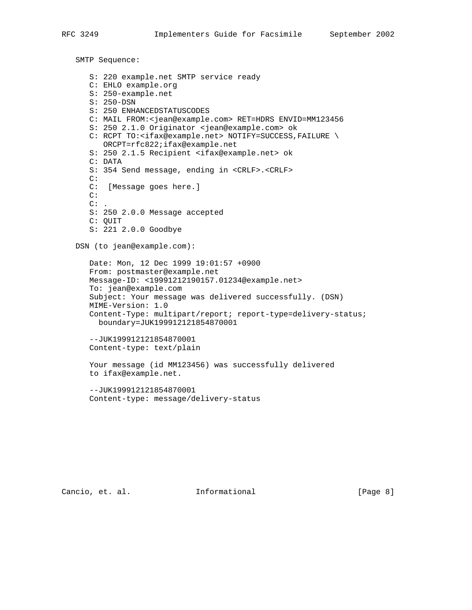SMTP Sequence: S: 220 example.net SMTP service ready C: EHLO example.org S: 250-example.net S: 250-DSN S: 250 ENHANCEDSTATUSCODES C: MAIL FROM:<jean@example.com> RET=HDRS ENVID=MM123456 S: 250 2.1.0 Originator <jean@example.com> ok C: RCPT TO:<ifax@example.net> NOTIFY=SUCCESS,FAILURE \ ORCPT=rfc822;ifax@example.net S: 250 2.1.5 Recipient <ifax@example.net> ok C: DATA S: 354 Send message, ending in <CRLF>.<CRLF> C: C: [Message goes here.] C:  $C:$  . S: 250 2.0.0 Message accepted C: QUIT S: 221 2.0.0 Goodbye DSN (to jean@example.com): Date: Mon, 12 Dec 1999 19:01:57 +0900 From: postmaster@example.net Message-ID: <19991212190157.01234@example.net> To: jean@example.com Subject: Your message was delivered successfully. (DSN) MIME-Version: 1.0 Content-Type: multipart/report; report-type=delivery-status; boundary=JUK199912121854870001 --JUK199912121854870001 Content-type: text/plain Your message (id MM123456) was successfully delivered to ifax@example.net. --JUK199912121854870001 Content-type: message/delivery-status

Cancio, et. al. **Informational** [Page 8]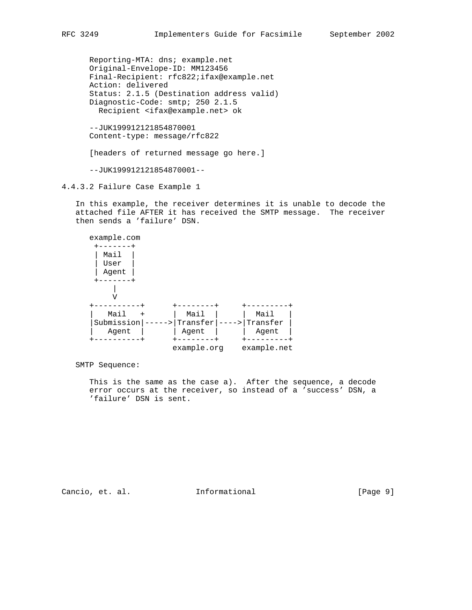Reporting-MTA: dns; example.net Original-Envelope-ID: MM123456 Final-Recipient: rfc822;ifax@example.net Action: delivered Status: 2.1.5 (Destination address valid) Diagnostic-Code: smtp; 250 2.1.5 Recipient <ifax@example.net> ok

 --JUK199912121854870001 Content-type: message/rfc822

[headers of returned message go here.]

--JUK199912121854870001--

4.4.3.2 Failure Case Example 1

 In this example, the receiver determines it is unable to decode the attached file AFTER it has received the SMTP message. The receiver then sends a 'failure' DSN.

| example.com                 |             |       |             |  |
|-----------------------------|-------------|-------|-------------|--|
|                             |             |       |             |  |
| Mail                        |             |       |             |  |
| User                        |             |       |             |  |
| Agent                       |             |       |             |  |
|                             |             |       |             |  |
|                             |             |       |             |  |
|                             |             |       |             |  |
|                             |             |       |             |  |
| Mail<br>$\ddot{}$           | Mail        |       | Mail        |  |
| Submission<br>$\rightarrow$ | Transfer    | $---$ | Transfer    |  |
| Agent                       | Agent       |       | Agent       |  |
|                             |             |       |             |  |
|                             | example.org |       | example.net |  |

SMTP Sequence:

 This is the same as the case a). After the sequence, a decode error occurs at the receiver, so instead of a 'success' DSN, a 'failure' DSN is sent.

Cancio, et. al. 1nformational [Page 9]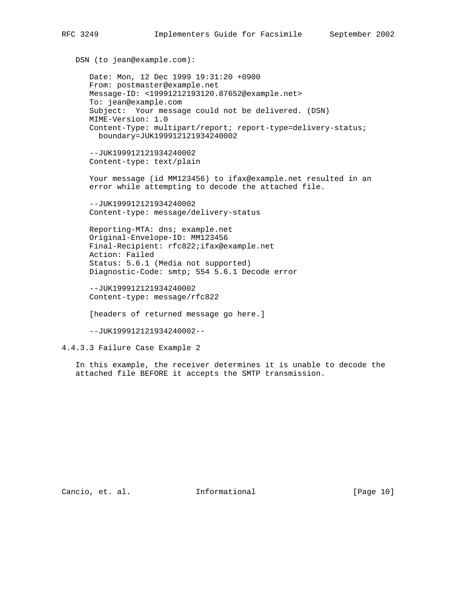```
 DSN (to jean@example.com):
 Date: Mon, 12 Dec 1999 19:31:20 +0900
From: postmaster@example.net
Message-ID: <19991212193120.87652@example.net>
To: jean@example.com
 Subject: Your message could not be delivered. (DSN)
MIME-Version: 1.0
 Content-Type: multipart/report; report-type=delivery-status;
   boundary=JUK199912121934240002
 --JUK199912121934240002
 Content-type: text/plain
 Your message (id MM123456) to ifax@example.net resulted in an
 error while attempting to decode the attached file.
 --JUK199912121934240002
Content-type: message/delivery-status
 Reporting-MTA: dns; example.net
 Original-Envelope-ID: MM123456
Final-Recipient: rfc822;ifax@example.net
Action: Failed
 Status: 5.6.1 (Media not supported)
 Diagnostic-Code: smtp; 554 5.6.1 Decode error
 --JUK199912121934240002
 Content-type: message/rfc822
 [headers of returned message go here.]
 --JUK199912121934240002--
```
4.4.3.3 Failure Case Example 2

 In this example, the receiver determines it is unable to decode the attached file BEFORE it accepts the SMTP transmission.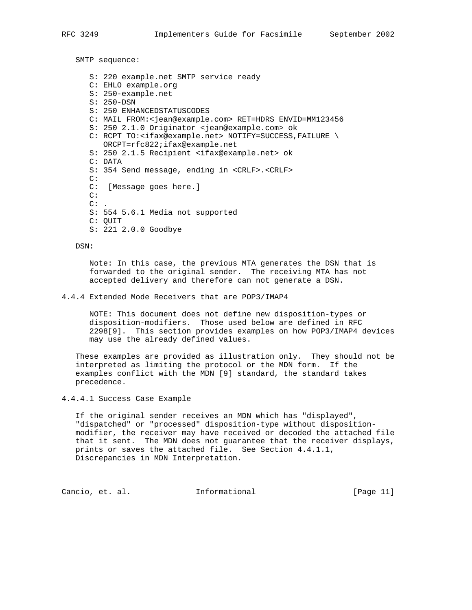SMTP sequence:

 S: 220 example.net SMTP service ready C: EHLO example.org S: 250-example.net S: 250-DSN S: 250 ENHANCEDSTATUSCODES C: MAIL FROM:<jean@example.com> RET=HDRS ENVID=MM123456 S: 250 2.1.0 Originator <jean@example.com> ok C: RCPT TO:<ifax@example.net> NOTIFY=SUCCESS,FAILURE \ ORCPT=rfc822;ifax@example.net S: 250 2.1.5 Recipient <ifax@example.net> ok C: DATA S: 354 Send message, ending in <CRLF>.<CRLF>  $\cap$ : C: [Message goes here.] C:  $C:$  . S: 554 5.6.1 Media not supported C: QUIT S: 221 2.0.0 Goodbye

DSN:

 Note: In this case, the previous MTA generates the DSN that is forwarded to the original sender. The receiving MTA has not accepted delivery and therefore can not generate a DSN.

4.4.4 Extended Mode Receivers that are POP3/IMAP4

 NOTE: This document does not define new disposition-types or disposition-modifiers. Those used below are defined in RFC 2298[9]. This section provides examples on how POP3/IMAP4 devices may use the already defined values.

 These examples are provided as illustration only. They should not be interpreted as limiting the protocol or the MDN form. If the examples conflict with the MDN [9] standard, the standard takes precedence.

4.4.4.1 Success Case Example

 If the original sender receives an MDN which has "displayed", "dispatched" or "processed" disposition-type without disposition modifier, the receiver may have received or decoded the attached file that it sent. The MDN does not guarantee that the receiver displays, prints or saves the attached file. See Section 4.4.1.1, Discrepancies in MDN Interpretation.

Cancio, et. al. Informational [Page 11]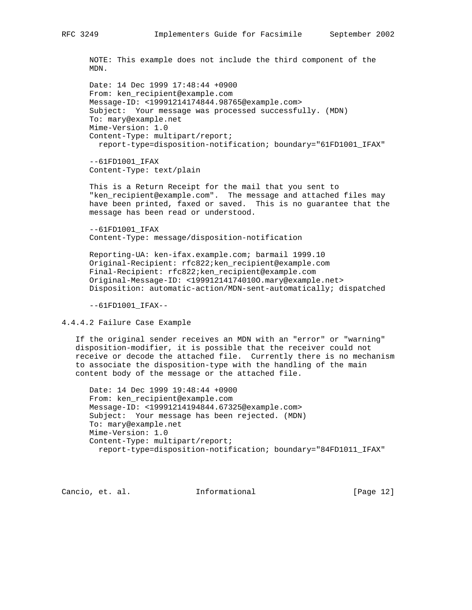NOTE: This example does not include the third component of the MDN.

 Date: 14 Dec 1999 17:48:44 +0900 From: ken\_recipient@example.com Message-ID: <19991214174844.98765@example.com> Subject: Your message was processed successfully. (MDN) To: mary@example.net Mime-Version: 1.0 Content-Type: multipart/report; report-type=disposition-notification; boundary="61FD1001\_IFAX"

 $--61FD1001 IFAX$ Content-Type: text/plain

 This is a Return Receipt for the mail that you sent to "ken\_recipient@example.com". The message and attached files may have been printed, faxed or saved. This is no guarantee that the message has been read or understood.

 $--61$ FD $1001$  IFAX Content-Type: message/disposition-notification

 Reporting-UA: ken-ifax.example.com; barmail 1999.10 Original-Recipient: rfc822;ken\_recipient@example.com Final-Recipient: rfc822;ken\_recipient@example.com Original-Message-ID: <19991214174010O.mary@example.net> Disposition: automatic-action/MDN-sent-automatically; dispatched

--61FD1001\_IFAX--

4.4.4.2 Failure Case Example

 If the original sender receives an MDN with an "error" or "warning" disposition-modifier, it is possible that the receiver could not receive or decode the attached file. Currently there is no mechanism to associate the disposition-type with the handling of the main content body of the message or the attached file.

 Date: 14 Dec 1999 19:48:44 +0900 From: ken\_recipient@example.com Message-ID: <19991214194844.67325@example.com> Subject: Your message has been rejected. (MDN) To: mary@example.net Mime-Version: 1.0 Content-Type: multipart/report; report-type=disposition-notification; boundary="84FD1011\_IFAX"

Cancio, et. al. Informational [Page 12]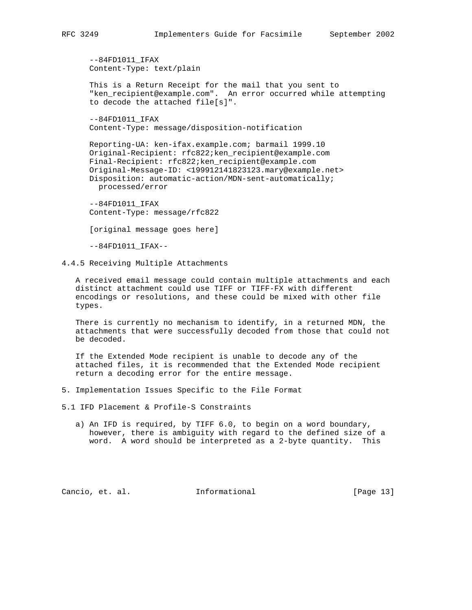--84FD1011\_IFAX Content-Type: text/plain

 This is a Return Receipt for the mail that you sent to "ken\_recipient@example.com". An error occurred while attempting to decode the attached file[s]".

 --84FD1011\_IFAX Content-Type: message/disposition-notification

 Reporting-UA: ken-ifax.example.com; barmail 1999.10 Original-Recipient: rfc822;ken\_recipient@example.com Final-Recipient: rfc822;ken\_recipient@example.com Original-Message-ID: <199912141823123.mary@example.net> Disposition: automatic-action/MDN-sent-automatically; processed/error

 --84FD1011\_IFAX Content-Type: message/rfc822

[original message goes here]

--84FD1011\_IFAX--

4.4.5 Receiving Multiple Attachments

 A received email message could contain multiple attachments and each distinct attachment could use TIFF or TIFF-FX with different encodings or resolutions, and these could be mixed with other file types.

 There is currently no mechanism to identify, in a returned MDN, the attachments that were successfully decoded from those that could not be decoded.

 If the Extended Mode recipient is unable to decode any of the attached files, it is recommended that the Extended Mode recipient return a decoding error for the entire message.

5. Implementation Issues Specific to the File Format

5.1 IFD Placement & Profile-S Constraints

 a) An IFD is required, by TIFF 6.0, to begin on a word boundary, however, there is ambiguity with regard to the defined size of a word. A word should be interpreted as a 2-byte quantity. This

Cancio, et. al. Informational [Page 13]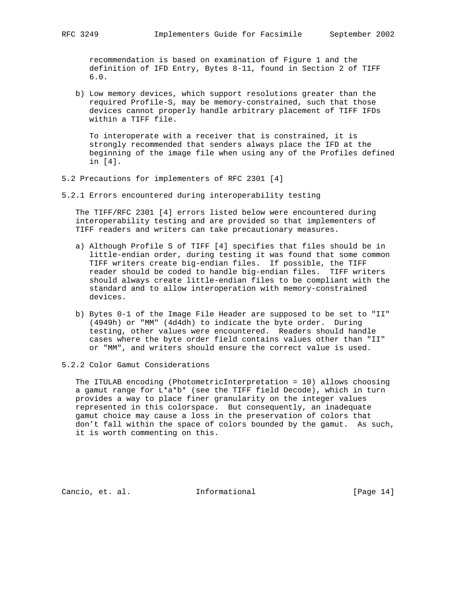recommendation is based on examination of Figure 1 and the definition of IFD Entry, Bytes 8-11, found in Section 2 of TIFF 6.0.

 b) Low memory devices, which support resolutions greater than the required Profile-S, may be memory-constrained, such that those devices cannot properly handle arbitrary placement of TIFF IFDs within a TIFF file.

 To interoperate with a receiver that is constrained, it is strongly recommended that senders always place the IFD at the beginning of the image file when using any of the Profiles defined in [4].

5.2 Precautions for implementers of RFC 2301 [4]

5.2.1 Errors encountered during interoperability testing

 The TIFF/RFC 2301 [4] errors listed below were encountered during interoperability testing and are provided so that implementers of TIFF readers and writers can take precautionary measures.

- a) Although Profile S of TIFF [4] specifies that files should be in little-endian order, during testing it was found that some common TIFF writers create big-endian files. If possible, the TIFF reader should be coded to handle big-endian files. TIFF writers should always create little-endian files to be compliant with the standard and to allow interoperation with memory-constrained devices.
- b) Bytes 0-1 of the Image File Header are supposed to be set to "II" (4949h) or "MM" (4d4dh) to indicate the byte order. During testing, other values were encountered. Readers should handle cases where the byte order field contains values other than "II" or "MM", and writers should ensure the correct value is used.
- 5.2.2 Color Gamut Considerations

 The ITULAB encoding (PhotometricInterpretation = 10) allows choosing a gamut range for L\*a\*b\* (see the TIFF field Decode), which in turn provides a way to place finer granularity on the integer values represented in this colorspace. But consequently, an inadequate gamut choice may cause a loss in the preservation of colors that don't fall within the space of colors bounded by the gamut. As such, it is worth commenting on this.

Cancio, et. al. Informational [Page 14]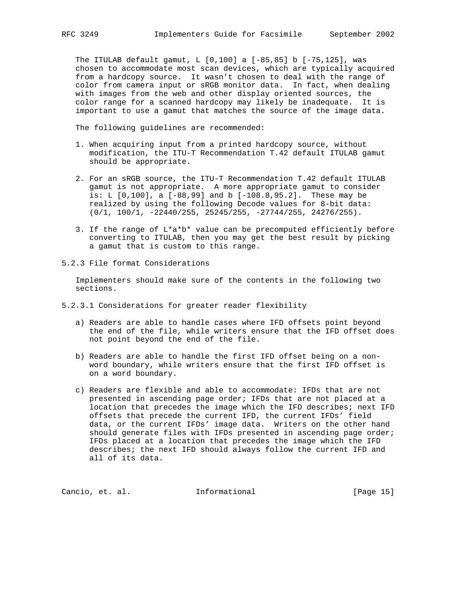The ITULAB default gamut, L [0,100] a [-85,85] b [-75,125], was chosen to accommodate most scan devices, which are typically acquired from a hardcopy source. It wasn't chosen to deal with the range of color from camera input or sRGB monitor data. In fact, when dealing with images from the web and other display oriented sources, the color range for a scanned hardcopy may likely be inadequate. It is important to use a gamut that matches the source of the image data.

The following guidelines are recommended:

- 1. When acquiring input from a printed hardcopy source, without modification, the ITU-T Recommendation T.42 default ITULAB gamut should be appropriate.
- 2. For an sRGB source, the ITU-T Recommendation T.42 default ITULAB gamut is not appropriate. A more appropriate gamut to consider is: L [0,100], a [-88,99] and b [-108.8,95.2]. These may be realized by using the following Decode values for 8-bit data: (0/1, 100/1, -22440/255, 25245/255, -27744/255, 24276/255).
- 3. If the range of L\*a\*b\* value can be precomputed efficiently before converting to ITULAB, then you may get the best result by picking a gamut that is custom to this range.
- 5.2.3 File format Considerations

 Implementers should make sure of the contents in the following two sections.

- 5.2.3.1 Considerations for greater reader flexibility
	- a) Readers are able to handle cases where IFD offsets point beyond the end of the file, while writers ensure that the IFD offset does not point beyond the end of the file.
	- b) Readers are able to handle the first IFD offset being on a non word boundary, while writers ensure that the first IFD offset is on a word boundary.
	- c) Readers are flexible and able to accommodate: IFDs that are not presented in ascending page order; IFDs that are not placed at a location that precedes the image which the IFD describes; next IFD offsets that precede the current IFD, the current IFDs' field data, or the current IFDs' image data. Writers on the other hand should generate files with IFDs presented in ascending page order; IFDs placed at a location that precedes the image which the IFD describes; the next IFD should always follow the current IFD and all of its data.

Cancio, et. al. 1nformational [Page 15]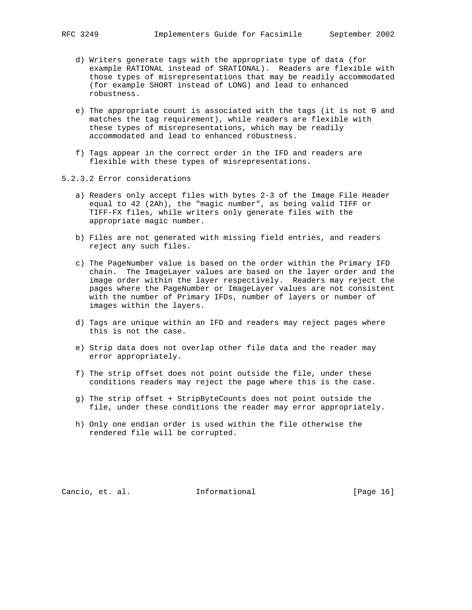- d) Writers generate tags with the appropriate type of data (for example RATIONAL instead of SRATIONAL). Readers are flexible with those types of misrepresentations that may be readily accommodated (for example SHORT instead of LONG) and lead to enhanced robustness.
- e) The appropriate count is associated with the tags (it is not 0 and matches the tag requirement), while readers are flexible with these types of misrepresentations, which may be readily accommodated and lead to enhanced robustness.
- f) Tags appear in the correct order in the IFD and readers are flexible with these types of misrepresentations.
- 5.2.3.2 Error considerations
	- a) Readers only accept files with bytes 2-3 of the Image File Header equal to 42 (2Ah), the "magic number", as being valid TIFF or TIFF-FX files, while writers only generate files with the appropriate magic number.
	- b) Files are not generated with missing field entries, and readers reject any such files.
	- c) The PageNumber value is based on the order within the Primary IFD chain. The ImageLayer values are based on the layer order and the image order within the layer respectively. Readers may reject the pages where the PageNumber or ImageLayer values are not consistent with the number of Primary IFDs, number of layers or number of images within the layers.
	- d) Tags are unique within an IFD and readers may reject pages where this is not the case.
	- e) Strip data does not overlap other file data and the reader may error appropriately.
	- f) The strip offset does not point outside the file, under these conditions readers may reject the page where this is the case.
	- g) The strip offset + StripByteCounts does not point outside the file, under these conditions the reader may error appropriately.
	- h) Only one endian order is used within the file otherwise the rendered file will be corrupted.

Cancio, et. al. Informational [Page 16]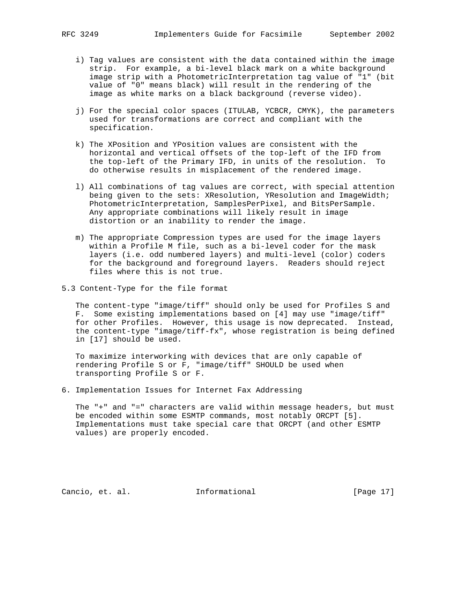- i) Tag values are consistent with the data contained within the image strip. For example, a bi-level black mark on a white background image strip with a PhotometricInterpretation tag value of "1" (bit value of "0" means black) will result in the rendering of the image as white marks on a black background (reverse video).
- j) For the special color spaces (ITULAB, YCBCR, CMYK), the parameters used for transformations are correct and compliant with the specification.
- k) The XPosition and YPosition values are consistent with the horizontal and vertical offsets of the top-left of the IFD from the top-left of the Primary IFD, in units of the resolution. To do otherwise results in misplacement of the rendered image.
- l) All combinations of tag values are correct, with special attention being given to the sets: XResolution, YResolution and ImageWidth; PhotometricInterpretation, SamplesPerPixel, and BitsPerSample. Any appropriate combinations will likely result in image distortion or an inability to render the image.
- m) The appropriate Compression types are used for the image layers within a Profile M file, such as a bi-level coder for the mask layers (i.e. odd numbered layers) and multi-level (color) coders for the background and foreground layers. Readers should reject files where this is not true.
- 5.3 Content-Type for the file format

 The content-type "image/tiff" should only be used for Profiles S and F. Some existing implementations based on [4] may use "image/tiff" for other Profiles. However, this usage is now deprecated. Instead, the content-type "image/tiff-fx", whose registration is being defined in [17] should be used.

 To maximize interworking with devices that are only capable of rendering Profile S or F, "image/tiff" SHOULD be used when transporting Profile S or F.

6. Implementation Issues for Internet Fax Addressing

 The "+" and "=" characters are valid within message headers, but must be encoded within some ESMTP commands, most notably ORCPT [5]. Implementations must take special care that ORCPT (and other ESMTP values) are properly encoded.

Cancio, et. al. Informational [Page 17]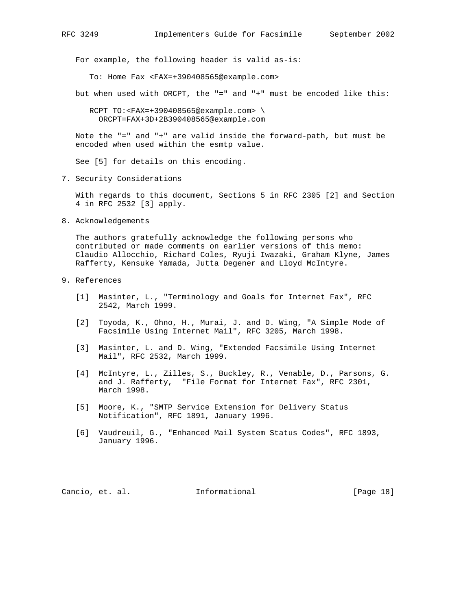For example, the following header is valid as-is:

To: Home Fax <FAX=+390408565@example.com>

but when used with ORCPT, the "=" and "+" must be encoded like this:

 RCPT TO:<FAX=+390408565@example.com> \ ORCPT=FAX+3D+2B390408565@example.com

 Note the "=" and "+" are valid inside the forward-path, but must be encoded when used within the esmtp value.

See [5] for details on this encoding.

7. Security Considerations

 With regards to this document, Sections 5 in RFC 2305 [2] and Section 4 in RFC 2532 [3] apply.

8. Acknowledgements

 The authors gratefully acknowledge the following persons who contributed or made comments on earlier versions of this memo: Claudio Allocchio, Richard Coles, Ryuji Iwazaki, Graham Klyne, James Rafferty, Kensuke Yamada, Jutta Degener and Lloyd McIntyre.

- 9. References
	- [1] Masinter, L., "Terminology and Goals for Internet Fax", RFC 2542, March 1999.
	- [2] Toyoda, K., Ohno, H., Murai, J. and D. Wing, "A Simple Mode of Facsimile Using Internet Mail", RFC 3205, March 1998.
	- [3] Masinter, L. and D. Wing, "Extended Facsimile Using Internet Mail", RFC 2532, March 1999.
	- [4] McIntyre, L., Zilles, S., Buckley, R., Venable, D., Parsons, G. and J. Rafferty, "File Format for Internet Fax", RFC 2301, March 1998.
	- [5] Moore, K., "SMTP Service Extension for Delivery Status Notification", RFC 1891, January 1996.
	- [6] Vaudreuil, G., "Enhanced Mail System Status Codes", RFC 1893, January 1996.

Cancio, et. al. Informational [Page 18]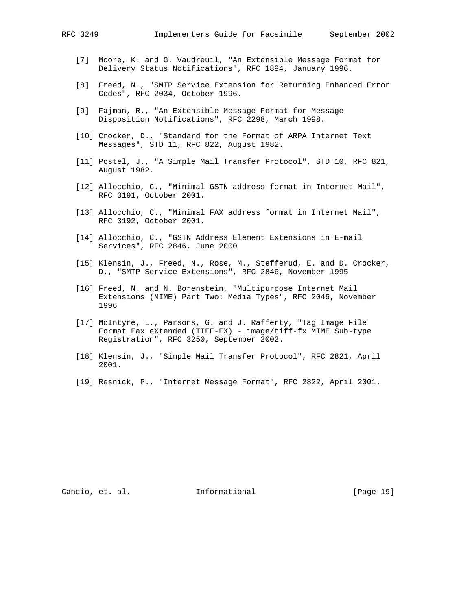- [7] Moore, K. and G. Vaudreuil, "An Extensible Message Format for Delivery Status Notifications", RFC 1894, January 1996.
- [8] Freed, N., "SMTP Service Extension for Returning Enhanced Error Codes", RFC 2034, October 1996.
- [9] Fajman, R., "An Extensible Message Format for Message Disposition Notifications", RFC 2298, March 1998.
- [10] Crocker, D., "Standard for the Format of ARPA Internet Text Messages", STD 11, RFC 822, August 1982.
- [11] Postel, J., "A Simple Mail Transfer Protocol", STD 10, RFC 821, August 1982.
- [12] Allocchio, C., "Minimal GSTN address format in Internet Mail", RFC 3191, October 2001.
- [13] Allocchio, C., "Minimal FAX address format in Internet Mail", RFC 3192, October 2001.
- [14] Allocchio, C., "GSTN Address Element Extensions in E-mail Services", RFC 2846, June 2000
- [15] Klensin, J., Freed, N., Rose, M., Stefferud, E. and D. Crocker, D., "SMTP Service Extensions", RFC 2846, November 1995
- [16] Freed, N. and N. Borenstein, "Multipurpose Internet Mail Extensions (MIME) Part Two: Media Types", RFC 2046, November 1996
- [17] McIntyre, L., Parsons, G. and J. Rafferty, "Tag Image File Format Fax eXtended (TIFF-FX) - image/tiff-fx MIME Sub-type Registration", RFC 3250, September 2002.
- [18] Klensin, J., "Simple Mail Transfer Protocol", RFC 2821, April 2001.
- [19] Resnick, P., "Internet Message Format", RFC 2822, April 2001.

Cancio, et. al. 1nformational [Page 19]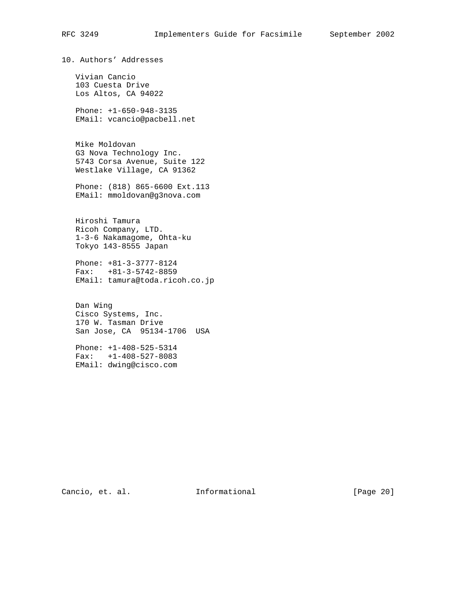10. Authors' Addresses Vivian Cancio 103 Cuesta Drive Los Altos, CA 94022 Phone: +1-650-948-3135 EMail: vcancio@pacbell.net Mike Moldovan G3 Nova Technology Inc. 5743 Corsa Avenue, Suite 122 Westlake Village, CA 91362 Phone: (818) 865-6600 Ext.113 EMail: mmoldovan@g3nova.com Hiroshi Tamura Ricoh Company, LTD. 1-3-6 Nakamagome, Ohta-ku Tokyo 143-8555 Japan Phone: +81-3-3777-8124 Fax: +81-3-5742-8859 EMail: tamura@toda.ricoh.co.jp Dan Wing Cisco Systems, Inc. 170 W. Tasman Drive San Jose, CA 95134-1706 USA Phone: +1-408-525-5314 Fax: +1-408-527-8083 EMail: dwing@cisco.com

Cancio, et. al. 1nformational [Page 20]